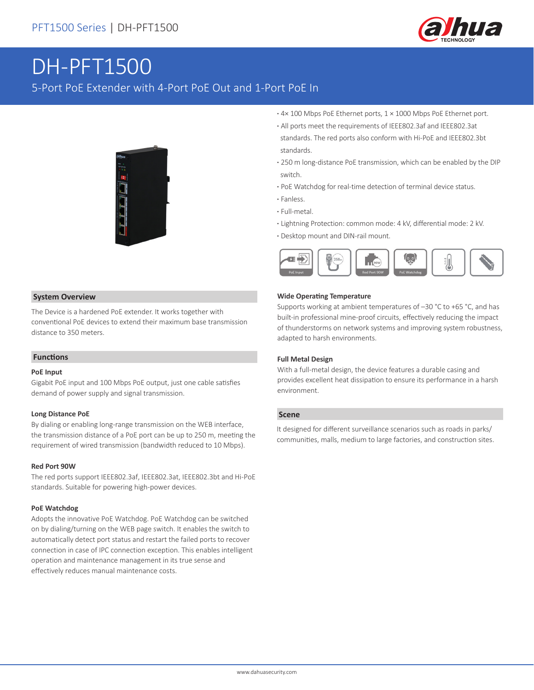

# DH-PFT1500

5-Port PoE Extender with 4-Port PoE Out and 1-Port PoE In



- **·** 4× 100 Mbps PoE Ethernet ports, 1 × 1000 Mbps PoE Ethernet port.
- **·** All ports meet the requirements of IEEE802.3af and IEEE802.3at standards. The red ports also conform with Hi-PoE and IEEE802.3bt standards.
- **·** 250 m long-distance PoE transmission, which can be enabled by the DIP switch.
- **·** PoE Watchdog for real-time detection of terminal device status.
- **·** Fanless.
- **·** Full-metal.
- **·** Lightning Protection: common mode: 4 kV, differential mode: 2 kV.
- **·** Desktop mount and DIN-rail mount.



#### **System Overview**

The Device is a hardened PoE extender. It works together with conventional PoE devices to extend their maximum base transmission distance to 350 meters.

#### **Functions**

#### **PoE Input**

Gigabit PoE input and 100 Mbps PoE output, just one cable satisfies demand of power supply and signal transmission.

#### **Long Distance PoE**

By dialing or enabling long-range transmission on the WEB interface, the transmission distance of a PoE port can be up to 250 m, meeting the requirement of wired transmission (bandwidth reduced to 10 Mbps).

#### **Red Port 90W**

The red ports support IEEE802.3af, IEEE802.3at, IEEE802.3bt and Hi-PoE standards. Suitable for powering high-power devices.

#### **PoE Watchdog**

Adopts the innovative PoE Watchdog. PoE Watchdog can be switched on by dialing/turning on the WEB page switch. It enables the switch to automatically detect port status and restart the failed ports to recover connection in case of IPC connection exception. This enables intelligent operation and maintenance management in its true sense and effectively reduces manual maintenance costs.

#### **Wide Operating Temperature**

Supports working at ambient temperatures of –30 °C to +65 °C, and has built-in professional mine-proof circuits, effectively reducing the impact of thunderstorms on network systems and improving system robustness, adapted to harsh environments.

#### **Full Metal Design**

With a full-metal design, the device features a durable casing and provides excellent heat dissipation to ensure its performance in a harsh environment.

#### **Scene**

It designed for different surveillance scenarios such as roads in parks/ communities, malls, medium to large factories, and construction sites.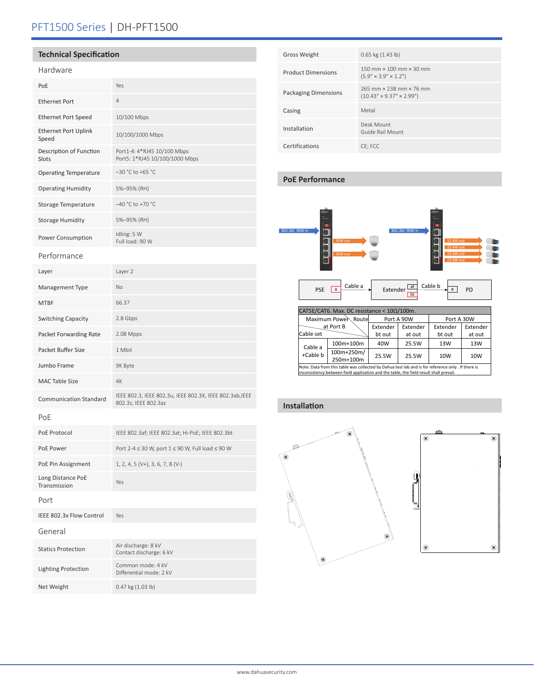# PFT1500 Series | DH-PFT1500

#### **Technical Specification**

## Hardware

| i iai uwai c                         |                                                                                  |
|--------------------------------------|----------------------------------------------------------------------------------|
| PoE                                  | Yes                                                                              |
| <b>Ethernet Port</b>                 | $\overline{4}$                                                                   |
| <b>Ethernet Port Speed</b>           | 10/100 Mbps                                                                      |
| <b>Ethernet Port Uplink</b><br>Speed | 10/100/1000 Mbps                                                                 |
| Description of Function<br>Slots     | Port1-4: 4*RJ45 10/100 Mbps<br>Port5: 1*RJ45 10/100/1000 Mbps                    |
| <b>Operating Temperature</b>         | -30 °C to +65 °C                                                                 |
| <b>Operating Humidity</b>            | 5%-95% (RH)                                                                      |
| Storage Temperature                  | -40 °C to +70 °C                                                                 |
| <b>Storage Humidity</b>              | 5%-95% (RH)                                                                      |
| Power Consumption                    | Idling: 5 W<br>Full load: 90 W                                                   |
| Performance                          |                                                                                  |
| Layer                                | Layer 2                                                                          |
| Management Type                      | No                                                                               |
| <b>MTBF</b>                          | 66.37                                                                            |
| Switching Capacity                   | 2.8 Gbps                                                                         |
| Packet Forwarding Rate               | 2.08 Mpps                                                                        |
| Packet Buffer Size                   | 1 Mbit                                                                           |
| Jumbo Frame                          | 9K Byte                                                                          |
| <b>MAC Table Size</b>                | 4K                                                                               |
| <b>Communication Standard</b>        | IEEE 802.3, IEEE 802.3u, IEEE 802.3X, IEEE 802.3ab, IEEE<br>802.3z, IEEE 802.3az |
| PoE                                  |                                                                                  |
| PoE Protocol                         | IEEE 802.3af; IEEE 802.3at; Hi-PoE; IEEE 802.3bt                                 |
| PoE Power                            | Port 2-4 ≤ 30 W, port 1 ≤ 90 W, Full load ≤ 90 W                                 |
| PoE Pin Assignment                   | 1, 2, 4, 5 (V+), 3, 6, 7, 8 (V-)                                                 |
| Long Distance PoE<br>Transmission    | Yes                                                                              |
| Port                                 |                                                                                  |
| IEEE 802.3x Flow Control             | Yes                                                                              |
| General                              |                                                                                  |
| <b>Statics Protection</b>            | Air discharge: 8 kV<br>Contact discharge: 6 kV                                   |
| <b>Lighting Protection</b>           | Common mode: 4 kV<br>Differential mode: 2 kV                                     |
| Net Weight                           | 0.47 kg (1.03 lb)                                                                |

| <b>Gross Weight</b>         | $0.65$ kg $(1.43$ lb)                                                                           |
|-----------------------------|-------------------------------------------------------------------------------------------------|
| <b>Product Dimensions</b>   | $150 \text{ mm} \times 100 \text{ mm} \times 30 \text{ mm}$<br>$(5.9" \times 3.9" \times 1.2")$ |
| <b>Packaging Dimensions</b> | 265 mm x 238 mm x 76 mm<br>$(10.43" \times 9.37" \times 2.99")$                                 |
| Casing                      | Metal                                                                                           |
| Installation                | Desk Mount<br>Guide Rail Mount                                                                  |
| Certifications              | CE: FCC                                                                                         |

#### **PoE Performance**



Note: Data from this table was collected by Dahua test lab and is for reference only . If there is inconsistency between field application and the table, the field result shall prevail.

### **Installation**